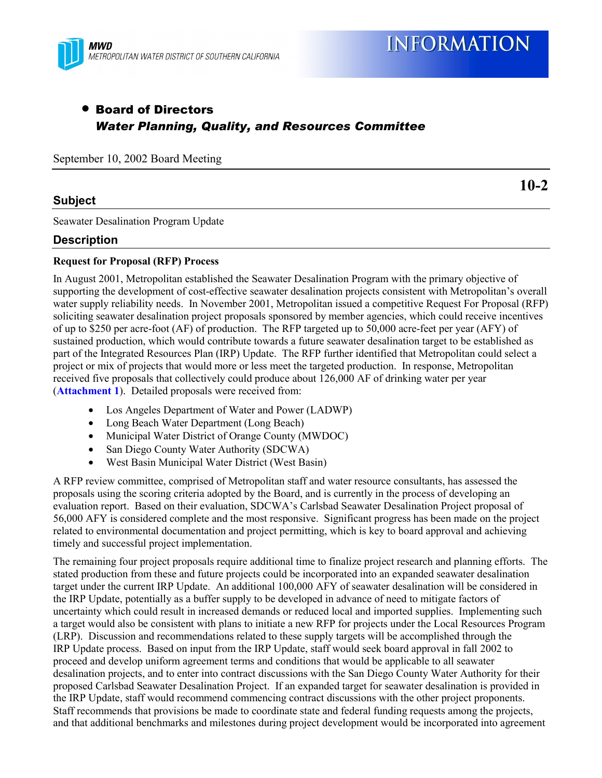

# • Board of Directors *Water Planning, Quality, and Resources Committee*

September 10, 2002 Board Meeting

## **Subject**

**10-2**

Seawater Desalination Program Update

## **Description**

### **Request for Proposal (RFP) Process**

In August 2001, Metropolitan established the Seawater Desalination Program with the primary objective of supporting the development of cost-effective seawater desalination projects consistent with Metropolitan's overall water supply reliability needs. In November 2001, Metropolitan issued a competitive Request For Proposal (RFP) soliciting seawater desalination project proposals sponsored by member agencies, which could receive incentives of up to \$250 per acre-foot (AF) of production. The RFP targeted up to 50,000 acre-feet per year (AFY) of sustained production, which would contribute towards a future seawater desalination target to be established as part of the Integrated Resources Plan (IRP) Update. The RFP further identified that Metropolitan could select a project or mix of projects that would more or less meet the targeted production. In response, Metropolitan received five proposals that collectively could produce about 126,000 AF of drinking water per year (**Attachment 1**). Detailed proposals were received from:

- Los Angeles Department of Water and Power (LADWP)
- Long Beach Water Department (Long Beach)
- Municipal Water District of Orange County (MWDOC)
- San Diego County Water Authority (SDCWA)
- West Basin Municipal Water District (West Basin)

A RFP review committee, comprised of Metropolitan staff and water resource consultants, has assessed the proposals using the scoring criteria adopted by the Board, and is currently in the process of developing an evaluation report. Based on their evaluation, SDCWA's Carlsbad Seawater Desalination Project proposal of 56,000 AFY is considered complete and the most responsive. Significant progress has been made on the project related to environmental documentation and project permitting, which is key to board approval and achieving timely and successful project implementation.

The remaining four project proposals require additional time to finalize project research and planning efforts. The stated production from these and future projects could be incorporated into an expanded seawater desalination target under the current IRP Update. An additional 100,000 AFY of seawater desalination will be considered in the IRP Update, potentially as a buffer supply to be developed in advance of need to mitigate factors of uncertainty which could result in increased demands or reduced local and imported supplies. Implementing such a target would also be consistent with plans to initiate a new RFP for projects under the Local Resources Program (LRP). Discussion and recommendations related to these supply targets will be accomplished through the IRP Update process. Based on input from the IRP Update, staff would seek board approval in fall 2002 to proceed and develop uniform agreement terms and conditions that would be applicable to all seawater desalination projects, and to enter into contract discussions with the San Diego County Water Authority for their proposed Carlsbad Seawater Desalination Project. If an expanded target for seawater desalination is provided in the IRP Update, staff would recommend commencing contract discussions with the other project proponents. Staff recommends that provisions be made to coordinate state and federal funding requests among the projects, and that additional benchmarks and milestones during project development would be incorporated into agreement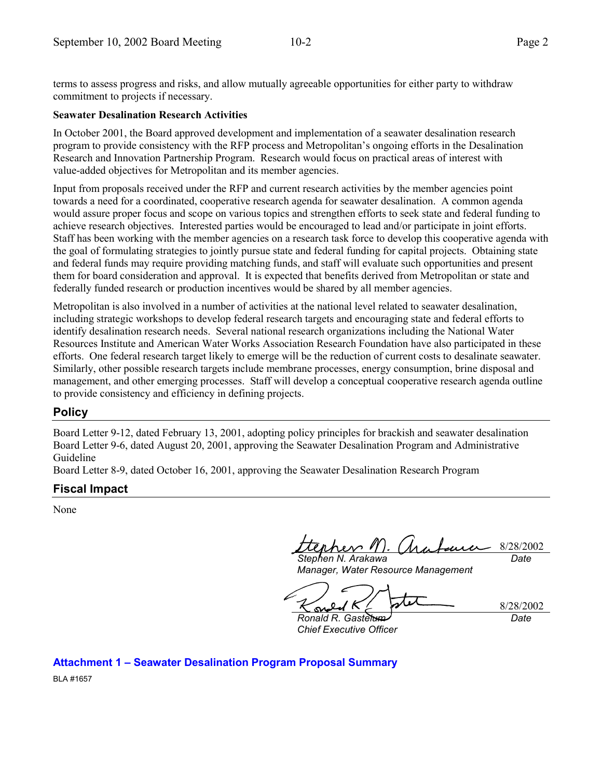terms to assess progress and risks, and allow mutually agreeable opportunities for either party to withdraw commitment to projects if necessary.

#### **Seawater Desalination Research Activities**

In October 2001, the Board approved development and implementation of a seawater desalination research program to provide consistency with the RFP process and Metropolitan's ongoing efforts in the Desalination Research and Innovation Partnership Program. Research would focus on practical areas of interest with value-added objectives for Metropolitan and its member agencies.

Input from proposals received under the RFP and current research activities by the member agencies point towards a need for a coordinated, cooperative research agenda for seawater desalination. A common agenda would assure proper focus and scope on various topics and strengthen efforts to seek state and federal funding to achieve research objectives. Interested parties would be encouraged to lead and/or participate in joint efforts. Staff has been working with the member agencies on a research task force to develop this cooperative agenda with the goal of formulating strategies to jointly pursue state and federal funding for capital projects. Obtaining state and federal funds may require providing matching funds, and staff will evaluate such opportunities and present them for board consideration and approval. It is expected that benefits derived from Metropolitan or state and federally funded research or production incentives would be shared by all member agencies.

Metropolitan is also involved in a number of activities at the national level related to seawater desalination, including strategic workshops to develop federal research targets and encouraging state and federal efforts to identify desalination research needs. Several national research organizations including the National Water Resources Institute and American Water Works Association Research Foundation have also participated in these efforts. One federal research target likely to emerge will be the reduction of current costs to desalinate seawater. Similarly, other possible research targets include membrane processes, energy consumption, brine disposal and management, and other emerging processes. Staff will develop a conceptual cooperative research agenda outline to provide consistency and efficiency in defining projects.

## **Policy**

Board Letter 9-12, dated February 13, 2001, adopting policy principles for brackish and seawater desalination Board Letter 9-6, dated August 20, 2001, approving the Seawater Desalination Program and Administrative Guideline

Board Letter 8-9, dated October 16, 2001, approving the Seawater Desalination Research Program

## **Fiscal Impact**

None

8/28/2002 *Stephen N. Arakawa Date*

*Manager, Water Resource Management*

8/28/2002

*Ronald R. Gastelum Chief Executive Officer*

*Date*

**Attachment 1 – Seawater Desalination Program Proposal Summary** BLA #1657